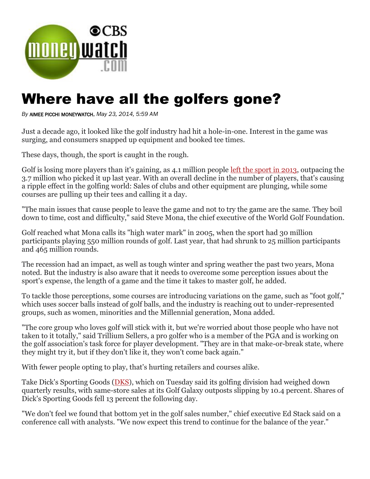

## Where have all the golfers gone?

*By* AIMEE PICCHI MONEYWATCH, *May 23, 2014, 5:59 AM*

Just a decade ago, it looked like the golf industry had hit a hole-in-one. Interest in the game was surging, and consumers snapped up equipment and booked tee times.

These days, though, the sport is caught in the rough.

Golf is losing more players than it's gaining, as 4.1 million people [left the sport in 2013,](http://www.turfnet.com/page/news.html/_/construction-play-number-of-golfers-decline-in-2013-r249) outpacing the 3.7 million who picked it up last year. With an overall decline in the number of players, that's causing a ripple effect in the golfing world: Sales of clubs and other equipment are plunging, while some courses are pulling up their tees and calling it a day.

"The main issues that cause people to leave the game and not to try the game are the same. They boil down to time, cost and difficulty," said Steve Mona, the chief executive of the World Golf Foundation.

Golf reached what Mona calls its "high water mark" in 2005, when the sport had 30 million participants playing 550 million rounds of golf. Last year, that had shrunk to 25 million participants and 465 million rounds.

The recession had an impact, as well as tough winter and spring weather the past two years, Mona noted. But the industry is also aware that it needs to overcome some perception issues about the sport's expense, the length of a game and the time it takes to master golf, he added.

To tackle those perceptions, some courses are introducing variations on the game, such as "foot golf," which uses soccer balls instead of golf balls, and the industry is reaching out to under-represented groups, such as women, minorities and the Millennial generation, Mona added.

"The core group who loves golf will stick with it, but we're worried about those people who have not taken to it totally," said Trillium Sellers, a pro golfer who is a member of the PGA and is working on the golf association's task force for player development. "They are in that make-or-break state, where they might try it, but if they don't like it, they won't come back again."

With fewer people opting to play, that's hurting retailers and courses alike.

Take Dick's Sporting Goods [\(DKS\)](http://markets.cbsnews.com/DKS/quote/), which on Tuesday said its golfing division had weighed down quarterly results, with same-store sales at its Golf Galaxy outposts slipping by 10.4 percent. Shares of Dick's Sporting Goods fell 13 percent the following day.

"We don't feel we found that bottom yet in the golf sales number," chief executive Ed Stack said on a conference call with analysts. "We now expect this trend to continue for the balance of the year."